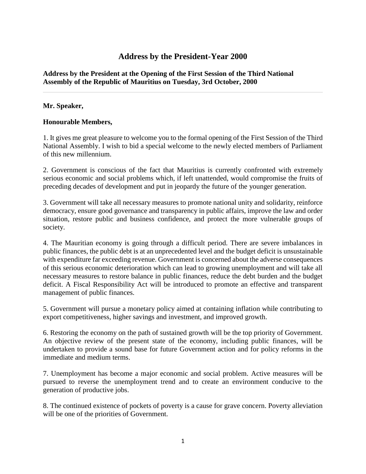# **Address by the President-Year 2000**

## **Address by the President at the Opening of the First Session of the Third National Assembly of the Republic of Mauritius on Tuesday, 3rd October, 2000**

## **Mr. Speaker,**

## **Honourable Members,**

1. It gives me great pleasure to welcome you to the formal opening of the First Session of the Third National Assembly. I wish to bid a special welcome to the newly elected members of Parliament of this new millennium.

2. Government is conscious of the fact that Mauritius is currently confronted with extremely serious economic and social problems which, if left unattended, would compromise the fruits of preceding decades of development and put in jeopardy the future of the younger generation.

3. Government will take all necessary measures to promote national unity and solidarity, reinforce democracy, ensure good governance and transparency in public affairs, improve the law and order situation, restore public and business confidence, and protect the more vulnerable groups of society.

4. The Mauritian economy is going through a difficult period. There are severe imbalances in public finances, the public debt is at an unprecedented level and the budget deficit is unsustainable with expenditure far exceeding revenue. Government is concerned about the adverse consequences of this serious economic deterioration which can lead to growing unemployment and will take all necessary measures to restore balance in public finances, reduce the debt burden and the budget deficit. A Fiscal Responsibility Act will be introduced to promote an effective and transparent management of public finances.

5. Government will pursue a monetary policy aimed at containing inflation while contributing to export competitiveness, higher savings and investment, and improved growth.

6. Restoring the economy on the path of sustained growth will be the top priority of Government. An objective review of the present state of the economy, including public finances, will be undertaken to provide a sound base for future Government action and for policy reforms in the immediate and medium terms.

7. Unemployment has become a major economic and social problem. Active measures will be pursued to reverse the unemployment trend and to create an environment conducive to the generation of productive jobs.

8. The continued existence of pockets of poverty is a cause for grave concern. Poverty alleviation will be one of the priorities of Government.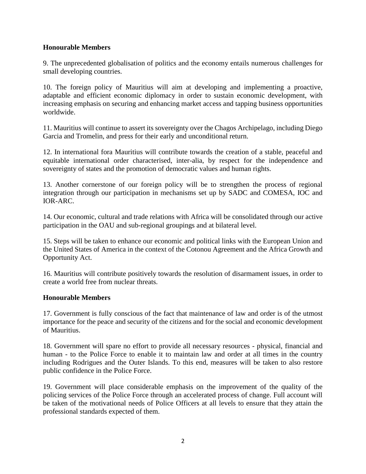## **Honourable Members**

9. The unprecedented globalisation of politics and the economy entails numerous challenges for small developing countries.

10. The foreign policy of Mauritius will aim at developing and implementing a proactive, adaptable and efficient economic diplomacy in order to sustain economic development, with increasing emphasis on securing and enhancing market access and tapping business opportunities worldwide.

11. Mauritius will continue to assert its sovereignty over the Chagos Archipelago, including Diego Garcia and Tromelin, and press for their early and unconditional return.

12. In international fora Mauritius will contribute towards the creation of a stable, peaceful and equitable international order characterised, inter-alia, by respect for the independence and sovereignty of states and the promotion of democratic values and human rights.

13. Another cornerstone of our foreign policy will be to strengthen the process of regional integration through our participation in mechanisms set up by SADC and COMESA, IOC and IOR-ARC.

14. Our economic, cultural and trade relations with Africa will be consolidated through our active participation in the OAU and sub-regional groupings and at bilateral level.

15. Steps will be taken to enhance our economic and political links with the European Union and the United States of America in the context of the Cotonou Agreement and the Africa Growth and Opportunity Act.

16. Mauritius will contribute positively towards the resolution of disarmament issues, in order to create a world free from nuclear threats.

### **Honourable Members**

17. Government is fully conscious of the fact that maintenance of law and order is of the utmost importance for the peace and security of the citizens and for the social and economic development of Mauritius.

18. Government will spare no effort to provide all necessary resources - physical, financial and human - to the Police Force to enable it to maintain law and order at all times in the country including Rodrigues and the Outer Islands. To this end, measures will be taken to also restore public confidence in the Police Force.

19. Government will place considerable emphasis on the improvement of the quality of the policing services of the Police Force through an accelerated process of change. Full account will be taken of the motivational needs of Police Officers at all levels to ensure that they attain the professional standards expected of them.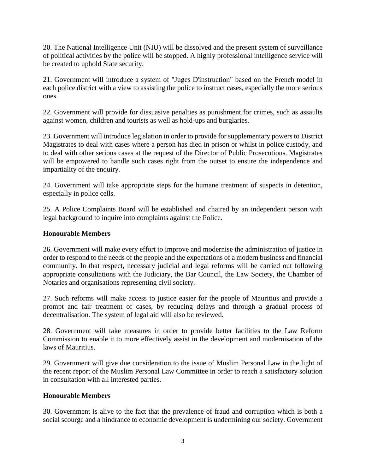20. The National Intelligence Unit (NIU) will be dissolved and the present system of surveillance of political activities by the police will be stopped. A highly professional intelligence service will be created to uphold State security.

21. Government will introduce a system of "Juges D'instruction" based on the French model in each police district with a view to assisting the police to instruct cases, especially the more serious ones.

22. Government will provide for dissuasive penalties as punishment for crimes, such as assaults against women, children and tourists as well as hold-ups and burglaries.

23. Government will introduce legislation in order to provide for supplementary powers to District Magistrates to deal with cases where a person has died in prison or whilst in police custody, and to deal with other serious cases at the request of the Director of Public Prosecutions. Magistrates will be empowered to handle such cases right from the outset to ensure the independence and impartiality of the enquiry.

24. Government will take appropriate steps for the humane treatment of suspects in detention, especially in police cells.

25. A Police Complaints Board will be established and chaired by an independent person with legal background to inquire into complaints against the Police.

## **Honourable Members**

26. Government will make every effort to improve and modernise the administration of justice in order to respond to the needs of the people and the expectations of a modern business and financial community. In that respect, necessary judicial and legal reforms will be carried out following appropriate consultations with the Judiciary, the Bar Council, the Law Society, the Chamber of Notaries and organisations representing civil society.

27. Such reforms will make access to justice easier for the people of Mauritius and provide a prompt and fair treatment of cases, by reducing delays and through a gradual process of decentralisation. The system of legal aid will also be reviewed.

28. Government will take measures in order to provide better facilities to the Law Reform Commission to enable it to more effectively assist in the development and modernisation of the laws of Mauritius.

29. Government will give due consideration to the issue of Muslim Personal Law in the light of the recent report of the Muslim Personal Law Committee in order to reach a satisfactory solution in consultation with all interested parties.

### **Honourable Members**

30. Government is alive to the fact that the prevalence of fraud and corruption which is both a social scourge and a hindrance to economic development is undermining our society. Government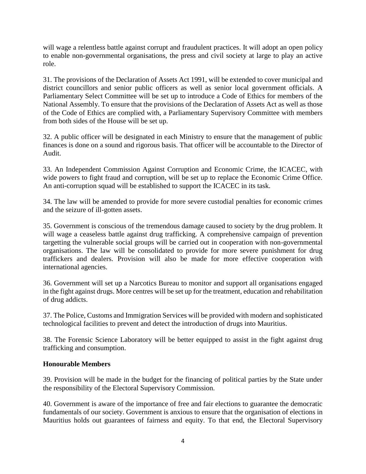will wage a relentless battle against corrupt and fraudulent practices. It will adopt an open policy to enable non-governmental organisations, the press and civil society at large to play an active role.

31. The provisions of the Declaration of Assets Act 1991, will be extended to cover municipal and district councillors and senior public officers as well as senior local government officials. A Parliamentary Select Committee will be set up to introduce a Code of Ethics for members of the National Assembly. To ensure that the provisions of the Declaration of Assets Act as well as those of the Code of Ethics are complied with, a Parliamentary Supervisory Committee with members from both sides of the House will be set up.

32. A public officer will be designated in each Ministry to ensure that the management of public finances is done on a sound and rigorous basis. That officer will be accountable to the Director of Audit.

33. An Independent Commission Against Corruption and Economic Crime, the ICACEC, with wide powers to fight fraud and corruption, will be set up to replace the Economic Crime Office. An anti-corruption squad will be established to support the ICACEC in its task.

34. The law will be amended to provide for more severe custodial penalties for economic crimes and the seizure of ill-gotten assets.

35. Government is conscious of the tremendous damage caused to society by the drug problem. It will wage a ceaseless battle against drug trafficking. A comprehensive campaign of prevention targetting the vulnerable social groups will be carried out in cooperation with non-governmental organisations. The law will be consolidated to provide for more severe punishment for drug traffickers and dealers. Provision will also be made for more effective cooperation with international agencies.

36. Government will set up a Narcotics Bureau to monitor and support all organisations engaged in the fight against drugs. More centres will be set up for the treatment, education and rehabilitation of drug addicts.

37. The Police, Customs and Immigration Services will be provided with modern and sophisticated technological facilities to prevent and detect the introduction of drugs into Mauritius.

38. The Forensic Science Laboratory will be better equipped to assist in the fight against drug trafficking and consumption.

## **Honourable Members**

39. Provision will be made in the budget for the financing of political parties by the State under the responsibility of the Electoral Supervisory Commission.

40. Government is aware of the importance of free and fair elections to guarantee the democratic fundamentals of our society. Government is anxious to ensure that the organisation of elections in Mauritius holds out guarantees of fairness and equity. To that end, the Electoral Supervisory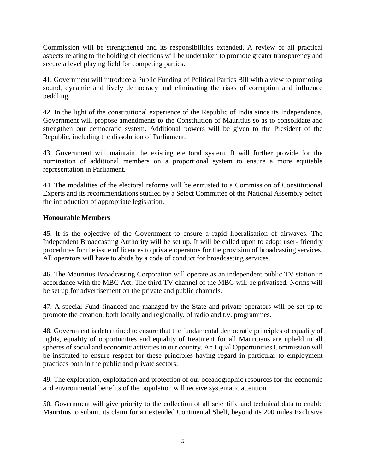Commission will be strengthened and its responsibilities extended. A review of all practical aspects relating to the holding of elections will be undertaken to promote greater transparency and secure a level playing field for competing parties.

41. Government will introduce a Public Funding of Political Parties Bill with a view to promoting sound, dynamic and lively democracy and eliminating the risks of corruption and influence peddling.

42. In the light of the constitutional experience of the Republic of India since its Independence, Government will propose amendments to the Constitution of Mauritius so as to consolidate and strengthen our democratic system. Additional powers will be given to the President of the Republic, including the dissolution of Parliament.

43. Government will maintain the existing electoral system. It will further provide for the nomination of additional members on a proportional system to ensure a more equitable representation in Parliament.

44. The modalities of the electoral reforms will be entrusted to a Commission of Constitutional Experts and its recommendations studied by a Select Committee of the National Assembly before the introduction of appropriate legislation.

## **Honourable Members**

45. It is the objective of the Government to ensure a rapid liberalisation of airwaves. The Independent Broadcasting Authority will be set up. It will be called upon to adopt user- friendly procedures for the issue of licences to private operators for the provision of broadcasting services. All operators will have to abide by a code of conduct for broadcasting services.

46. The Mauritius Broadcasting Corporation will operate as an independent public TV station in accordance with the MBC Act. The third TV channel of the MBC will be privatised. Norms will be set up for advertisement on the private and public channels.

47. A special Fund financed and managed by the State and private operators will be set up to promote the creation, both locally and regionally, of radio and t.v. programmes.

48. Government is determined to ensure that the fundamental democratic principles of equality of rights, equality of opportunities and equality of treatment for all Mauritians are upheld in all spheres of social and economic activities in our country. An Equal Opportunities Commission will be instituted to ensure respect for these principles having regard in particular to employment practices both in the public and private sectors.

49. The exploration, exploitation and protection of our oceanographic resources for the economic and environmental benefits of the population will receive systematic attention.

50. Government will give priority to the collection of all scientific and technical data to enable Mauritius to submit its claim for an extended Continental Shelf, beyond its 200 miles Exclusive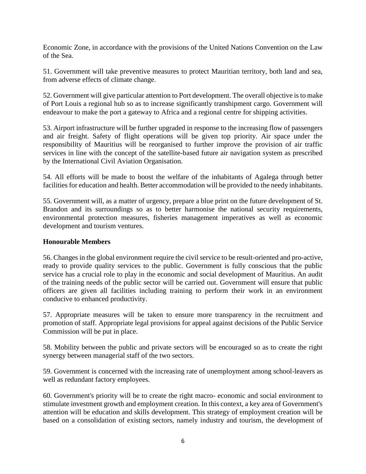Economic Zone, in accordance with the provisions of the United Nations Convention on the Law of the Sea.

51. Government will take preventive measures to protect Mauritian territory, both land and sea, from adverse effects of climate change.

52. Government will give particular attention to Port development. The overall objective is to make of Port Louis a regional hub so as to increase significantly transhipment cargo. Government will endeavour to make the port a gateway to Africa and a regional centre for shipping activities.

53. Airport infrastructure will be further upgraded in response to the increasing flow of passengers and air freight. Safety of flight operations will be given top priority. Air space under the responsibility of Mauritius will be reorganised to further improve the provision of air traffic services in line with the concept of the satellite-based future air navigation system as prescribed by the International Civil Aviation Organisation.

54. All efforts will be made to boost the welfare of the inhabitants of Agalega through better facilities for education and health. Better accommodation will be provided to the needy inhabitants.

55. Government will, as a matter of urgency, prepare a blue print on the future development of St. Brandon and its surroundings so as to better harmonise the national security requirements, environmental protection measures, fisheries management imperatives as well as economic development and tourism ventures.

### **Honourable Members**

56. Changes in the global environment require the civil service to be result-oriented and pro-active, ready to provide quality services to the public. Government is fully conscious that the public service has a crucial role to play in the economic and social development of Mauritius. An audit of the training needs of the public sector will be carried out. Government will ensure that public officers are given all facilities including training to perform their work in an environment conducive to enhanced productivity.

57. Appropriate measures will be taken to ensure more transparency in the recruitment and promotion of staff. Appropriate legal provisions for appeal against decisions of the Public Service Commission will be put in place.

58. Mobility between the public and private sectors will be encouraged so as to create the right synergy between managerial staff of the two sectors.

59. Government is concerned with the increasing rate of unemployment among school-leavers as well as redundant factory employees.

60. Government's priority will be to create the right macro- economic and social environment to stimulate investment growth and employment creation. In this context, a key area of Government's attention will be education and skills development. This strategy of employment creation will be based on a consolidation of existing sectors, namely industry and tourism, the development of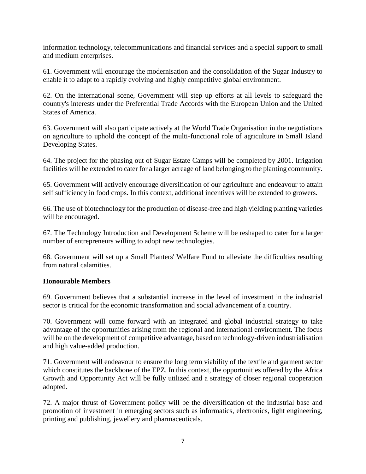information technology, telecommunications and financial services and a special support to small and medium enterprises.

61. Government will encourage the modernisation and the consolidation of the Sugar Industry to enable it to adapt to a rapidly evolving and highly competitive global environment.

62. On the international scene, Government will step up efforts at all levels to safeguard the country's interests under the Preferential Trade Accords with the European Union and the United States of America.

63. Government will also participate actively at the World Trade Organisation in the negotiations on agriculture to uphold the concept of the multi-functional role of agriculture in Small Island Developing States.

64. The project for the phasing out of Sugar Estate Camps will be completed by 2001. Irrigation facilities will be extended to cater for a larger acreage of land belonging to the planting community.

65. Government will actively encourage diversification of our agriculture and endeavour to attain self sufficiency in food crops. In this context, additional incentives will be extended to growers.

66. The use of biotechnology for the production of disease-free and high yielding planting varieties will be encouraged.

67. The Technology Introduction and Development Scheme will be reshaped to cater for a larger number of entrepreneurs willing to adopt new technologies.

68. Government will set up a Small Planters' Welfare Fund to alleviate the difficulties resulting from natural calamities.

### **Honourable Members**

69. Government believes that a substantial increase in the level of investment in the industrial sector is critical for the economic transformation and social advancement of a country.

70. Government will come forward with an integrated and global industrial strategy to take advantage of the opportunities arising from the regional and international environment. The focus will be on the development of competitive advantage, based on technology-driven industrialisation and high value-added production.

71. Government will endeavour to ensure the long term viability of the textile and garment sector which constitutes the backbone of the EPZ. In this context, the opportunities offered by the Africa Growth and Opportunity Act will be fully utilized and a strategy of closer regional cooperation adopted.

72. A major thrust of Government policy will be the diversification of the industrial base and promotion of investment in emerging sectors such as informatics, electronics, light engineering, printing and publishing, jewellery and pharmaceuticals.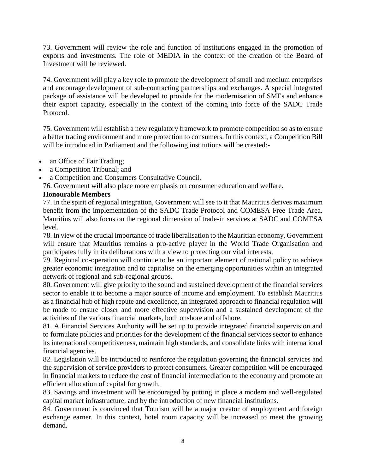73. Government will review the role and function of institutions engaged in the promotion of exports and investments. The role of MEDIA in the context of the creation of the Board of Investment will be reviewed.

74. Government will play a key role to promote the development of small and medium enterprises and encourage development of sub-contracting partnerships and exchanges. A special integrated package of assistance will be developed to provide for the modernisation of SMEs and enhance their export capacity, especially in the context of the coming into force of the SADC Trade Protocol.

75. Government will establish a new regulatory framework to promote competition so as to ensure a better trading environment and more protection to consumers. In this context, a Competition Bill will be introduced in Parliament and the following institutions will be created:-

- an Office of Fair Trading;
- a Competition Tribunal; and
- a Competition and Consumers Consultative Council.

76. Government will also place more emphasis on consumer education and welfare.

## **Honourable Members**

77. In the spirit of regional integration, Government will see to it that Mauritius derives maximum benefit from the implementation of the SADC Trade Protocol and COMESA Free Trade Area. Mauritius will also focus on the regional dimension of trade-in services at SADC and COMESA level.

78. In view of the crucial importance of trade liberalisation to the Mauritian economy, Government will ensure that Mauritius remains a pro-active player in the World Trade Organisation and participates fully in its deliberations with a view to protecting our vital interests.

79. Regional co-operation will continue to be an important element of national policy to achieve greater economic integration and to capitalise on the emerging opportunities within an integrated network of regional and sub-regional groups.

80. Government will give priority to the sound and sustained development of the financial services sector to enable it to become a major source of income and employment. To establish Mauritius as a financial hub of high repute and excellence, an integrated approach to financial regulation will be made to ensure closer and more effective supervision and a sustained development of the activities of the various financial markets, both onshore and offshore.

81. A Financial Services Authority will be set up to provide integrated financial supervision and to formulate policies and priorities for the development of the financial services sector to enhance its international competitiveness, maintain high standards, and consolidate links with international financial agencies.

82. Legislation will be introduced to reinforce the regulation governing the financial services and the supervision of service providers to protect consumers. Greater competition will be encouraged in financial markets to reduce the cost of financial intermediation to the economy and promote an efficient allocation of capital for growth.

83. Savings and investment will be encouraged by putting in place a modern and well-regulated capital market infrastructure, and by the introduction of new financial institutions.

84. Government is convinced that Tourism will be a major creator of employment and foreign exchange earner. In this context, hotel room capacity will be increased to meet the growing demand.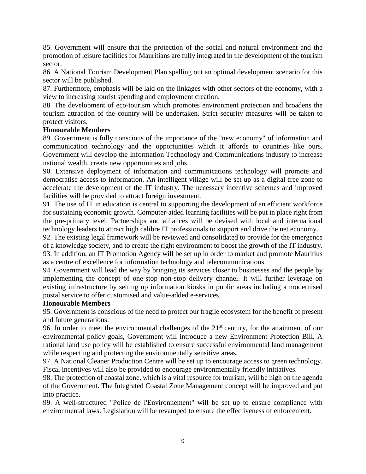85. Government will ensure that the protection of the social and natural environment and the promotion of leisure facilities for Mauritians are fully integrated in the development of the tourism sector.

86. A National Tourism Development Plan spelling out an optimal development scenario for this sector will be published.

87. Furthermore, emphasis will be laid on the linkages with other sectors of the economy, with a view to increasing tourist spending and employment creation.

88. The development of eco-tourism which promotes environment protection and broadens the tourism attraction of the country will be undertaken. Strict security measures will be taken to protect visitors.

## **Honourable Members**

89. Government is fully conscious of the importance of the "new economy" of information and communication technology and the opportunities which it affords to countries like ours. Government will develop the Information Technology and Communications industry to increase national wealth, create new opportunities and jobs.

90. Extensive deployment of information and communications technology will promote and democratise access to information. An intelligent village will be set up as a digital free zone to accelerate the development of the IT industry. The necessary incentive schemes and improved facilities will be provided to attract foreign investment.

91. The use of IT in education is central to supporting the development of an efficient workforce for sustaining economic growth. Computer-aided learning facilities will be put in place right from the pre-primary level. Partnerships and alliances will be devised with local and international technology leaders to attract high calibre IT professionals to support and drive the net economy.

92. The existing legal framework will be reviewed and consolidated to provide for the emergence of a knowledge society, and to create the right environment to boost the growth of the IT industry. 93. In addition, an IT Promotion Agency will be set up in order to market and promote Mauritius as a centre of excellence for information technology and telecommunications.

94. Government will lead the way by bringing its services closer to businesses and the people by implementing the concept of one-stop non-stop delivery channel. It will further leverage on existing infrastructure by setting up information kiosks in public areas including a modernised postal service to offer customised and value-added e-services.

### **Honourable Members**

95. Government is conscious of the need to protect our fragile ecosystem for the benefit of present and future generations.

96. In order to meet the environmental challenges of the  $21<sup>st</sup>$  century, for the attainment of our environmental policy goals, Government will introduce a new Environment Protection Bill. A rational land use policy will be established to ensure successful environmental land management while respecting and protecting the environmentally sensitive areas.

97. A National Cleaner Production Centre will be set up to encourage access to green technology. Fiscal incentives will also be provided to encourage environmentally friendly initiatives.

98. The protection of coastal zone, which is a vital resource for tourism, will be high on the agenda of the Government. The Integrated Coastal Zone Management concept will be improved and put into practice.

99. A well-structured "Police de l'Environnement" will be set up to ensure compliance with environmental laws. Legislation will be revamped to ensure the effectiveness of enforcement.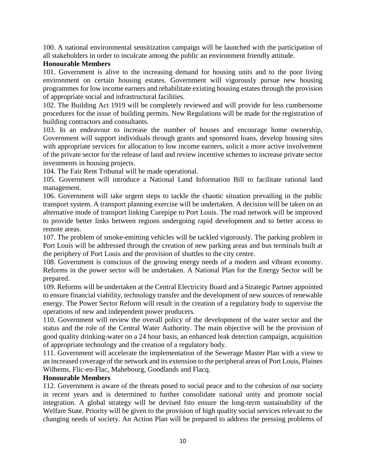100. A national environmental sensitization campaign will be launched with the participation of all stakeholders in order to inculcate among the public an environment friendly attitude.

## **Honourable Members**

101. Government is alive to the increasing demand for housing units and to the poor living environment on certain housing estates. Government will vigorously pursue new housing programmes for low income earners and rehabilitate existing housing estates through the provision of appropriate social and infrastructural facilities.

102. The Building Act 1919 will be completely reviewed and will provide for less cumbersome procedures for the issue of building permits. New Regulations will be made for the registration of building contractors and consultants.

103. In an endeavour to increase the number of houses and encourage home ownership, Government will support individuals through grants and sponsored loans, develop housing sites with appropriate services for allocation to low income earners, solicit a more active involvement of the private sector for the release of land and review incentive schemes to increase private sector investments in housing projects.

104. The Fair Rent Tribunal will be made operational.

105. Government will introduce a National Land Information Bill to facilitate rational land management.

106. Government will take urgent steps to tackle the chaotic situation prevailing in the public transport system. A transport planning exercise will be undertaken. A decision will be taken on an alternative mode of transport linking Curepipe to Port Louis. The road network will be improved to provide better links between regions undergoing rapid development and to better access to remote areas.

107. The problem of smoke-emitting vehicles will be tackled vigorously. The parking problem in Port Louis will be addressed through the creation of new parking areas and bus terminals built at the periphery of Port Louis and the provision of shuttles to the city centre.

108. Government is conscious of the growing energy needs of a modern and vibrant economy. Reforms in the power sector will be undertaken. A National Plan for the Energy Sector will be prepared.

109. Reforms will be undertaken at the Central Electricity Board and a Strategic Partner appointed to ensure financial viability, technology transfer and the development of new sources of renewable energy. The Power Sector Reform will result in the creation of a regulatory body to supervise the operations of new and independent power producers.

110. Government will review the overall policy of the development of the water sector and the status and the role of the Central Water Authority. The main objective will be the provision of good quality drinking-water on a 24 hour basis, an enhanced leak detection campaign, acquisition of appropriate technology and the creation of a regulatory body.

111. Government will accelerate the implementation of the Sewerage Master Plan with a view to an increased coverage of the network and its extension to the peripheral areas of Port Louis, Plaines Wilhems, Flic-en-Flac, Mahebourg, Goodlands and Flacq.

### **Honourable Members**

112. Government is aware of the threats posed to social peace and to the cohesion of our society in recent years and is determined to further consolidate national unity and promote social integration. A global strategy will be devised fsto ensure the long-term sustainability of the Welfare State. Priority will be given to the provision of high quality social services relevant to the changing needs of society. An Action Plan will be prepared to address the pressing problems of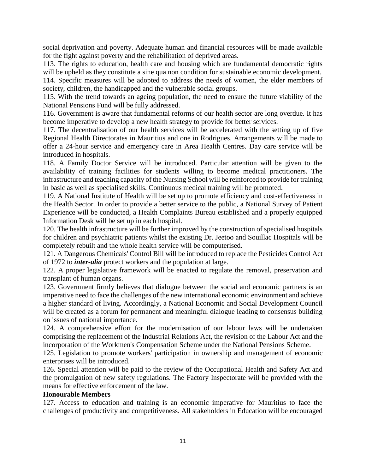social deprivation and poverty. Adequate human and financial resources will be made available for the fight against poverty and the rehabilitation of deprived areas.

113. The rights to education, health care and housing which are fundamental democratic rights will be upheld as they constitute a sine qua non condition for sustainable economic development.

114. Specific measures will be adopted to address the needs of women, the elder members of society, children, the handicapped and the vulnerable social groups.

115. With the trend towards an ageing population, the need to ensure the future viability of the National Pensions Fund will be fully addressed.

116. Government is aware that fundamental reforms of our health sector are long overdue. It has become imperative to develop a new health strategy to provide for better services.

117. The decentralisation of our health services will be accelerated with the setting up of five Regional Health Directorates in Mauritius and one in Rodrigues. Arrangements will be made to offer a 24-hour service and emergency care in Area Health Centres. Day care service will be introduced in hospitals.

118. A Family Doctor Service will be introduced. Particular attention will be given to the availability of training facilities for students willing to become medical practitioners. The infrastructure and teaching capacity of the Nursing School will be reinforced to provide for training in basic as well as specialised skills. Continuous medical training will be promoted.

119. A National Institute of Health will be set up to promote efficiency and cost-effectiveness in the Health Sector. In order to provide a better service to the public, a National Survey of Patient Experience will be conducted, a Health Complaints Bureau established and a properly equipped Information Desk will be set up in each hospital.

120. The health infrastructure will be further improved by the construction of specialised hospitals for children and psychiatric patients whilst the existing Dr. Jeetoo and Souillac Hospitals will be completely rebuilt and the whole health service will be computerised.

121. A Dangerous Chemicals' Control Bill will be introduced to replace the Pesticides Control Act of 1972 to *inter-alia* protect workers and the population at large.

122. A proper legislative framework will be enacted to regulate the removal, preservation and transplant of human organs.

123. Government firmly believes that dialogue between the social and economic partners is an imperative need to face the challenges of the new international economic environment and achieve a higher standard of living. Accordingly, a National Economic and Social Development Council will be created as a forum for permanent and meaningful dialogue leading to consensus building on issues of national importance.

124. A comprehensive effort for the modernisation of our labour laws will be undertaken comprising the replacement of the Industrial Relations Act, the revision of the Labour Act and the incorporation of the Workmen's Compensation Scheme under the National Pensions Scheme.

125. Legislation to promote workers' participation in ownership and management of economic enterprises will be introduced.

126. Special attention will be paid to the review of the Occupational Health and Safety Act and the promulgation of new safety regulations. The Factory Inspectorate will be provided with the means for effective enforcement of the law.

### **Honourable Members**

127. Access to education and training is an economic imperative for Mauritius to face the challenges of productivity and competitiveness. All stakeholders in Education will be encouraged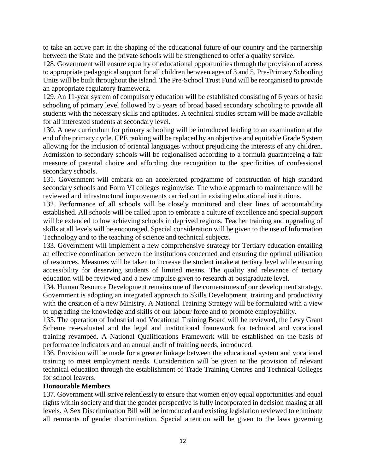to take an active part in the shaping of the educational future of our country and the partnership between the State and the private schools will be strengthened to offer a quality service.

128. Government will ensure equality of educational opportunities through the provision of access to appropriate pedagogical support for all children between ages of 3 and 5. Pre-Primary Schooling Units will be built throughout the island. The Pre-School Trust Fund will be reorganised to provide an appropriate regulatory framework.

129. An 11-year system of compulsory education will be established consisting of 6 years of basic schooling of primary level followed by 5 years of broad based secondary schooling to provide all students with the necessary skills and aptitudes. A technical studies stream will be made available for all interested students at secondary level.

130. A new curriculum for primary schooling will be introduced leading to an examination at the end of the primary cycle. CPE ranking will be replaced by an objective and equitable Grade System allowing for the inclusion of oriental languages without prejudicing the interests of any children. Admission to secondary schools will be regionalised according to a formula guaranteeing a fair measure of parental choice and affording due recognition to the specificities of confessional secondary schools.

131. Government will embark on an accelerated programme of construction of high standard secondary schools and Form VI colleges regionwise. The whole approach to maintenance will be reviewed and infrastructural improvements carried out in existing educational institutions.

132. Performance of all schools will be closely monitored and clear lines of accountability established. All schools will be called upon to embrace a culture of excellence and special support will be extended to low achieving schools in deprived regions. Teacher training and upgrading of skills at all levels will be encouraged. Special consideration will be given to the use of Information Technology and to the teaching of science and technical subjects.

133. Government will implement a new comprehensive strategy for Tertiary education entailing an effective coordination between the institutions concerned and ensuring the optimal utilisation of resources. Measures will be taken to increase the student intake at tertiary level while ensuring accessibility for deserving students of limited means. The quality and relevance of tertiary education will be reviewed and a new impulse given to research at postgraduate level.

134. Human Resource Development remains one of the cornerstones of our development strategy. Government is adopting an integrated approach to Skills Development, training and productivity with the creation of a new Ministry. A National Training Strategy will be formulated with a view to upgrading the knowledge and skills of our labour force and to promote employability.

135. The operation of Industrial and Vocational Training Board will be reviewed, the Levy Grant Scheme re-evaluated and the legal and institutional framework for technical and vocational training revamped. A National Qualifications Framework will be established on the basis of performance indicators and an annual audit of training needs, introduced.

136. Provision will be made for a greater linkage between the educational system and vocational training to meet employment needs. Consideration will be given to the provision of relevant technical education through the establishment of Trade Training Centres and Technical Colleges for school leavers.

### **Honourable Members**

137. Government will strive relentlessly to ensure that women enjoy equal opportunities and equal rights within society and that the gender perspective is fully incorporated in decision making at all levels. A Sex Discrimination Bill will be introduced and existing legislation reviewed to eliminate all remnants of gender discrimination. Special attention will be given to the laws governing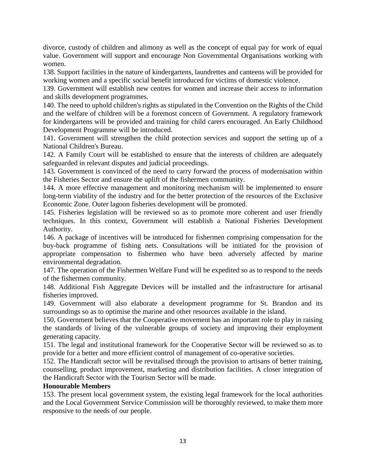divorce, custody of children and alimony as well as the concept of equal pay for work of equal value. Government will support and encourage Non Governmental Organisations working with women.

138. Support facilities in the nature of kindergartens, laundrettes and canteens will be provided for working women and a specific social benefit introduced for victims of domestic violence.

139. Government will establish new centres for women and increase their access to information and skills development programmes.

140. The need to uphold children's rights as stipulated in the Convention on the Rights of the Child and the welfare of children will be a foremost concern of Government. A regulatory framework for kindergartens will be provided and training for child carers encouraged. An Early Childhood Development Programme will be introduced.

141. Government will strengthen the child protection services and support the setting up of a National Children's Bureau.

142. A Family Court will be established to ensure that the interests of children are adequately safeguarded in relevant disputes and judicial proceedings.

143. Government is convinced of the need to carry forward the process of modernisation within the Fisheries Sector and ensure the uplift of the fishermen community.

144. A more effective management and monitoring mechanism will be implemented to ensure long-term viability of the industry and for the better protection of the resources of the Exclusive Economic Zone. Outer lagoon fisheries development will be promoted.

145. Fisheries legislation will be reviewed so as to promote more coherent and user friendly techniques. In this context, Government will establish a National Fisheries Development Authority.

146. A package of incentives will be introduced for fishermen comprising compensation for the buy-back programme of fishing nets. Consultations will be initiated for the provision of appropriate compensation to fishermen who have been adversely affected by marine environmental degradation.

147. The operation of the Fishermen Welfare Fund will be expedited so as to respond to the needs of the fishermen community.

148. Additional Fish Aggregate Devices will be installed and the infrastructure for artisanal fisheries improved.

149. Government will also elaborate a development programme for St. Brandon and its surroundings so as to optimise the marine and other resources available in the island.

150. Government believes that the Cooperative movement has an important role to play in raising the standards of living of the vulnerable groups of society and improving their employment generating capacity.

151. The legal and institutional framework for the Cooperative Sector will be reviewed so as to provide for a better and more efficient control of management of co-operative societies.

152. The Handicraft sector will be revitalised through the provision to artisans of better training, counselling, product improvement, marketing and distribution facilities. A closer integration of the Handicraft Sector with the Tourism Sector will be made.

### **Honourable Members**

153. The present local government system, the existing legal framework for the local authorities and the Local Government Service Commission will be thoroughly reviewed, to make them more responsive to the needs of our people.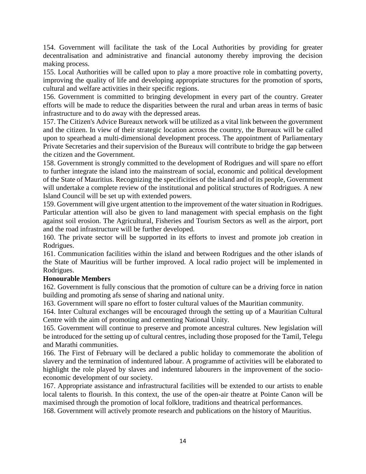154. Government will facilitate the task of the Local Authorities by providing for greater decentralisation and administrative and financial autonomy thereby improving the decision making process.

155. Local Authorities will be called upon to play a more proactive role in combatting poverty, improving the quality of life and developing appropriate structures for the promotion of sports, cultural and welfare activities in their specific regions.

156. Government is committed to bringing development in every part of the country. Greater efforts will be made to reduce the disparities between the rural and urban areas in terms of basic infrastructure and to do away with the depressed areas.

157. The Citizen's Advice Bureaux network will be utilized as a vital link between the government and the citizen. In view of their strategic location across the country, the Bureaux will be called upon to spearhead a multi-dimensional development process. The appointment of Parliamentary Private Secretaries and their supervision of the Bureaux will contribute to bridge the gap between the citizen and the Government.

158. Government is strongly committed to the development of Rodrigues and will spare no effort to further integrate the island into the mainstream of social, economic and political development of the State of Mauritius. Recognizing the specificities of the island and of its people, Government will undertake a complete review of the institutional and political structures of Rodrigues. A new Island Council will be set up with extended powers.

159. Government will give urgent attention to the improvement of the water situation in Rodrigues. Particular attention will also be given to land management with special emphasis on the fight against soil erosion. The Agricultural, Fisheries and Tourism Sectors as well as the airport, port and the road infrastructure will be further developed.

160. The private sector will be supported in its efforts to invest and promote job creation in Rodrigues.

161. Communication facilities within the island and between Rodrigues and the other islands of the State of Mauritius will be further improved. A local radio project will be implemented in Rodrigues.

## **Honourable Members**

162. Government is fully conscious that the promotion of culture can be a driving force in nation building and promoting afs sense of sharing and national unity.

163. Government will spare no effort to foster cultural values of the Mauritian community.

164. Inter Cultural exchanges will be encouraged through the setting up of a Mauritian Cultural Centre with the aim of promoting and cementing National Unity.

165. Government will continue to preserve and promote ancestral cultures. New legislation will be introduced for the setting up of cultural centres, including those proposed for the Tamil, Telegu and Marathi communities.

166. The First of February will be declared a public holiday to commemorate the abolition of slavery and the termination of indentured labour. A programme of activities will be elaborated to highlight the role played by slaves and indentured labourers in the improvement of the socioeconomic development of our society.

167. Appropriate assistance and infrastructural facilities will be extended to our artists to enable local talents to flourish. In this context, the use of the open-air theatre at Pointe Canon will be maximised through the promotion of local folklore, traditions and theatrical performances.

168. Government will actively promote research and publications on the history of Mauritius.